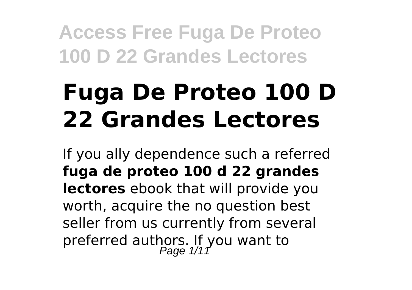# **Fuga De Proteo 100 D 22 Grandes Lectores**

If you ally dependence such a referred **fuga de proteo 100 d 22 grandes lectores** ebook that will provide you worth, acquire the no question best seller from us currently from several preferred authors. If you want to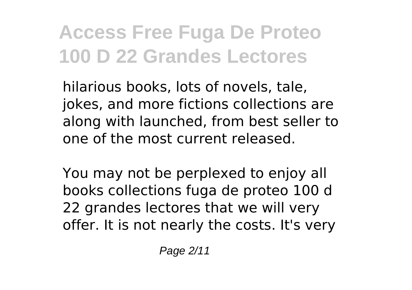hilarious books, lots of novels, tale, jokes, and more fictions collections are along with launched, from best seller to one of the most current released.

You may not be perplexed to enjoy all books collections fuga de proteo 100 d 22 grandes lectores that we will very offer. It is not nearly the costs. It's very

Page 2/11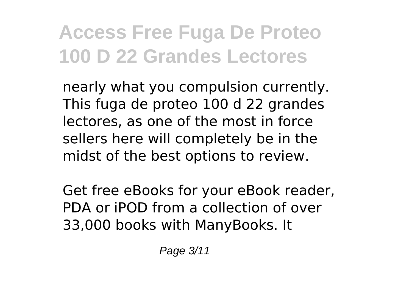nearly what you compulsion currently. This fuga de proteo 100 d 22 grandes lectores, as one of the most in force sellers here will completely be in the midst of the best options to review.

Get free eBooks for your eBook reader, PDA or iPOD from a collection of over 33,000 books with ManyBooks. It

Page 3/11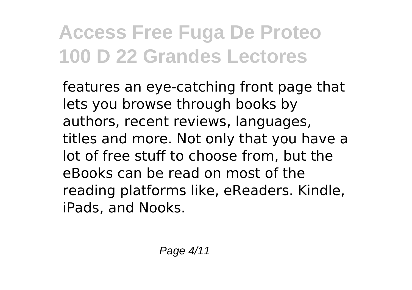features an eye-catching front page that lets you browse through books by authors, recent reviews, languages, titles and more. Not only that you have a lot of free stuff to choose from, but the eBooks can be read on most of the reading platforms like, eReaders. Kindle, iPads, and Nooks.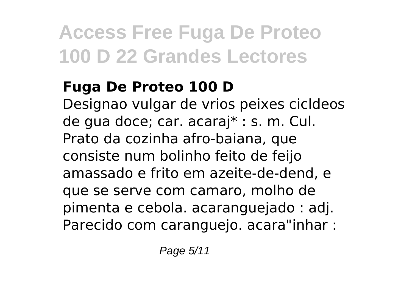#### **Fuga De Proteo 100 D**

Designao vulgar de vrios peixes cicldeos de gua doce; car. acaraj\* : s. m. Cul. Prato da cozinha afro-baiana, que consiste num bolinho feito de feijo amassado e frito em azeite-de-dend, e que se serve com camaro, molho de pimenta e cebola. acaranguejado : adj. Parecido com caranguejo. acara"inhar :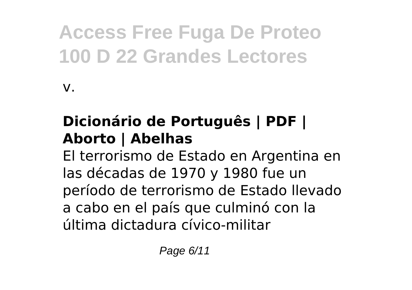v.

### **Dicionário de Português | PDF | Aborto | Abelhas**

El terrorismo de Estado en Argentina en las décadas de 1970 y 1980 fue un período de terrorismo de Estado llevado a cabo en el país que culminó con la última dictadura cívico-militar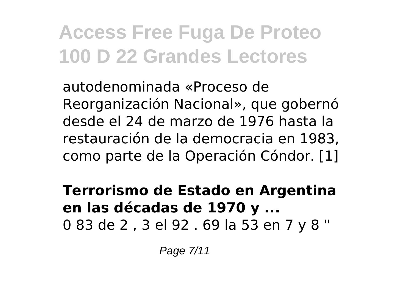autodenominada «Proceso de Reorganización Nacional», que gobernó desde el 24 de marzo de 1976 hasta la restauración de la democracia en 1983, como parte de la Operación Cóndor. [1]

#### **Terrorismo de Estado en Argentina en las décadas de 1970 y ...** 0 83 de 2 , 3 el 92 . 69 la 53 en 7 y 8 "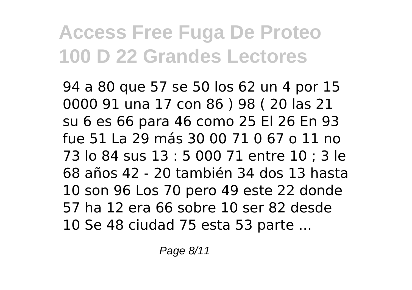94 a 80 que 57 se 50 los 62 un 4 por 15 0000 91 una 17 con 86 ) 98 ( 20 las 21 su 6 es 66 para 46 como 25 El 26 En 93 fue 51 La 29 más 30 00 71 0 67 o 11 no 73 lo 84 sus 13 : 5 000 71 entre 10 ; 3 le 68 años 42 - 20 también 34 dos 13 hasta 10 son 96 Los 70 pero 49 este 22 donde 57 ha 12 era 66 sobre 10 ser 82 desde 10 Se 48 ciudad 75 esta 53 parte ...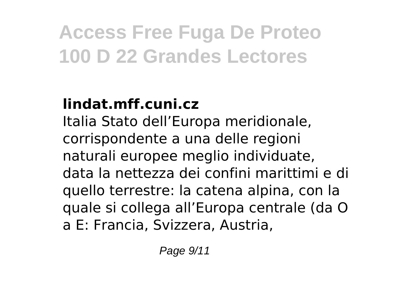### **lindat.mff.cuni.cz**

Italia Stato dell'Europa meridionale, corrispondente a una delle regioni naturali europee meglio individuate, data la nettezza dei confini marittimi e di quello terrestre: la catena alpina, con la quale si collega all'Europa centrale (da O a E: Francia, Svizzera, Austria,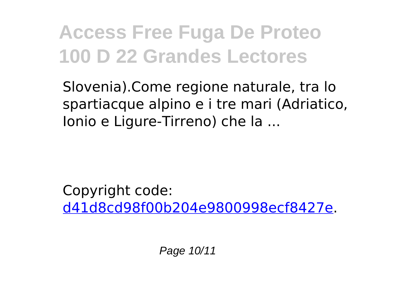Slovenia).Come regione naturale, tra lo spartiacque alpino e i tre mari (Adriatico, Ionio e Ligure-Tirreno) che la ...

Copyright code: [d41d8cd98f00b204e9800998ecf8427e.](/sitemap.xml)

Page 10/11